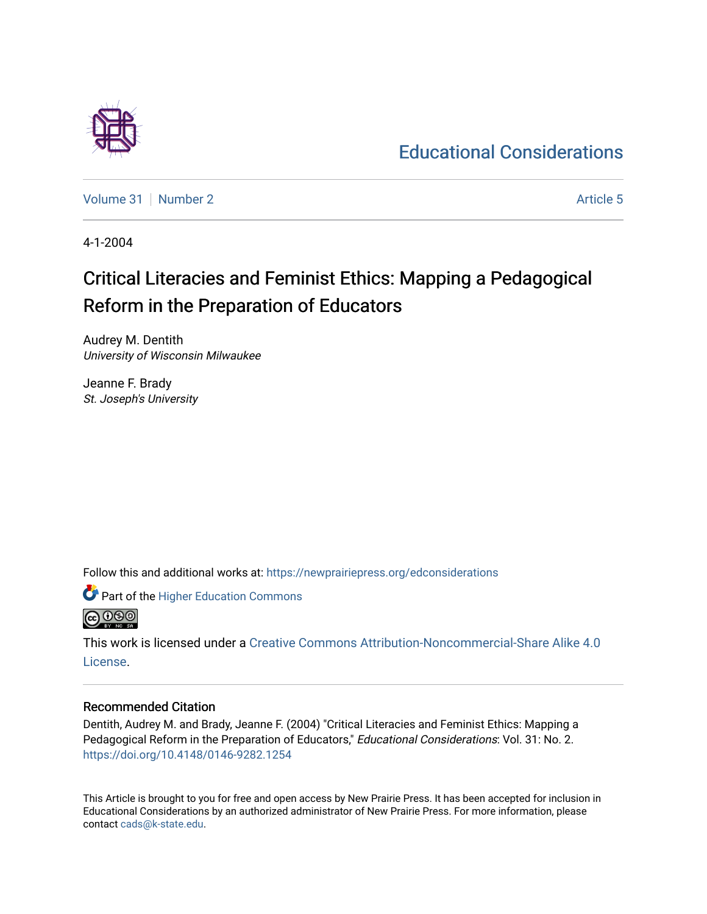# [Educational Considerations](https://newprairiepress.org/edconsiderations)

[Volume 31](https://newprairiepress.org/edconsiderations/vol31) | [Number 2](https://newprairiepress.org/edconsiderations/vol31/iss2) Article 5

4-1-2004

# Critical Literacies and Feminist Ethics: Mapping a Pedagogical Reform in the Preparation of Educators

Audrey M. Dentith University of Wisconsin Milwaukee

Jeanne F. Brady St. Joseph's University

Follow this and additional works at: [https://newprairiepress.org/edconsiderations](https://newprairiepress.org/edconsiderations?utm_source=newprairiepress.org%2Fedconsiderations%2Fvol31%2Fiss2%2F5&utm_medium=PDF&utm_campaign=PDFCoverPages) 



This work is licensed under a [Creative Commons Attribution-Noncommercial-Share Alike 4.0](https://creativecommons.org/licenses/by-nc-sa/4.0/) [License.](https://creativecommons.org/licenses/by-nc-sa/4.0/)

# Recommended Citation

Dentith, Audrey M. and Brady, Jeanne F. (2004) "Critical Literacies and Feminist Ethics: Mapping a Pedagogical Reform in the Preparation of Educators," Educational Considerations: Vol. 31: No. 2. <https://doi.org/10.4148/0146-9282.1254>

This Article is brought to you for free and open access by New Prairie Press. It has been accepted for inclusion in Educational Considerations by an authorized administrator of New Prairie Press. For more information, please contact [cads@k-state.edu](mailto:cads@k-state.edu).

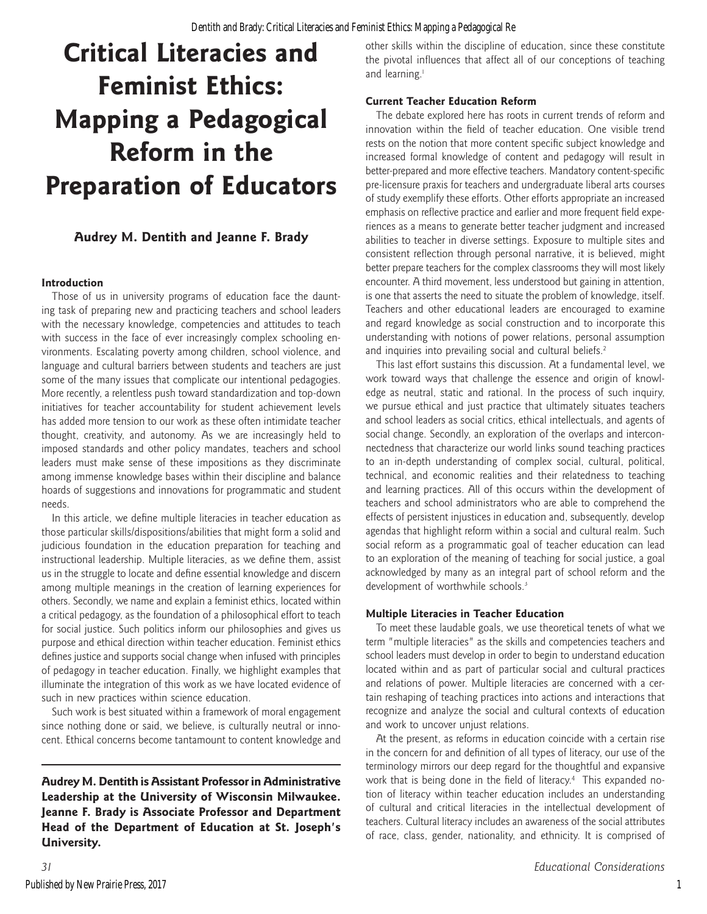# **Critical Literacies and Feminist Ethics: Mapping a Pedagogical Reform in the Preparation of Educators**

# **Audrey M. Dentith and Jeanne F. Brady**

### **Introduction**

Those of us in university programs of education face the daunting task of preparing new and practicing teachers and school leaders with the necessary knowledge, competencies and attitudes to teach with success in the face of ever increasingly complex schooling environments. Escalating poverty among children, school violence, and language and cultural barriers between students and teachers are just some of the many issues that complicate our intentional pedagogies. More recently, a relentless push toward standardization and top-down initiatives for teacher accountability for student achievement levels has added more tension to our work as these often intimidate teacher thought, creativity, and autonomy. As we are increasingly held to imposed standards and other policy mandates, teachers and school leaders must make sense of these impositions as they discriminate among immense knowledge bases within their discipline and balance hoards of suggestions and innovations for programmatic and student needs.

In this article, we define multiple literacies in teacher education as those particular skills/dispositions/abilities that might form a solid and judicious foundation in the education preparation for teaching and instructional leadership. Multiple literacies, as we define them, assist us in the struggle to locate and define essential knowledge and discern among multiple meanings in the creation of learning experiences for others. Secondly, we name and explain a feminist ethics, located within a critical pedagogy, as the foundation of a philosophical effort to teach for social justice. Such politics inform our philosophies and gives us purpose and ethical direction within teacher education. Feminist ethics defines justice and supports social change when infused with principles of pedagogy in teacher education. Finally, we highlight examples that illuminate the integration of this work as we have located evidence of such in new practices within science education.

Such work is best situated within a framework of moral engagement since nothing done or said, we believe, is culturally neutral or innocent. Ethical concerns become tantamount to content knowledge and

**Audrey M. Dentith is Assistant Professor in Administrative Leadership at the University of Wisconsin Milwaukee. Jeanne F. Brady is Associate Professor and Department Head of the Department of Education at St. Joseph's University.**

other skills within the discipline of education, since these constitute the pivotal influences that affect all of our conceptions of teaching and learning.<sup>1</sup>

# **Current Teacher Education Reform**

The debate explored here has roots in current trends of reform and innovation within the field of teacher education. One visible trend rests on the notion that more content specific subject knowledge and increased formal knowledge of content and pedagogy will result in better-prepared and more effective teachers. Mandatory content-specific pre-licensure praxis for teachers and undergraduate liberal arts courses of study exemplify these efforts. Other efforts appropriate an increased emphasis on reflective practice and earlier and more frequent field experiences as a means to generate better teacher judgment and increased abilities to teacher in diverse settings. Exposure to multiple sites and consistent reflection through personal narrative, it is believed, might better prepare teachers for the complex classrooms they will most likely encounter. A third movement, less understood but gaining in attention, is one that asserts the need to situate the problem of knowledge, itself. Teachers and other educational leaders are encouraged to examine and regard knowledge as social construction and to incorporate this understanding with notions of power relations, personal assumption and inquiries into prevailing social and cultural beliefs.<sup>2</sup>

This last effort sustains this discussion. At a fundamental level, we work toward ways that challenge the essence and origin of knowledge as neutral, static and rational. In the process of such inquiry, we pursue ethical and just practice that ultimately situates teachers and school leaders as social critics, ethical intellectuals, and agents of social change. Secondly, an exploration of the overlaps and interconnectedness that characterize our world links sound teaching practices to an in-depth understanding of complex social, cultural, political, technical, and economic realities and their relatedness to teaching and learning practices. All of this occurs within the development of teachers and school administrators who are able to comprehend the effects of persistent injustices in education and, subsequently, develop agendas that highlight reform within a social and cultural realm. Such social reform as a programmatic goal of teacher education can lead to an exploration of the meaning of teaching for social justice, a goal acknowledged by many as an integral part of school reform and the development of worthwhile schools.<sup>3</sup>

# **Multiple Literacies in Teacher Education**

To meet these laudable goals, we use theoretical tenets of what we term "multiple literacies" as the skills and competencies teachers and school leaders must develop in order to begin to understand education located within and as part of particular social and cultural practices and relations of power. Multiple literacies are concerned with a certain reshaping of teaching practices into actions and interactions that recognize and analyze the social and cultural contexts of education and work to uncover unjust relations.

At the present, as reforms in education coincide with a certain rise in the concern for and definition of all types of literacy, our use of the terminology mirrors our deep regard for the thoughtful and expansive work that is being done in the field of literacy.<sup>4</sup> This expanded notion of literacy within teacher education includes an understanding of cultural and critical literacies in the intellectual development of teachers. Cultural literacy includes an awareness of the social attributes of race, class, gender, nationality, and ethnicity. It is comprised of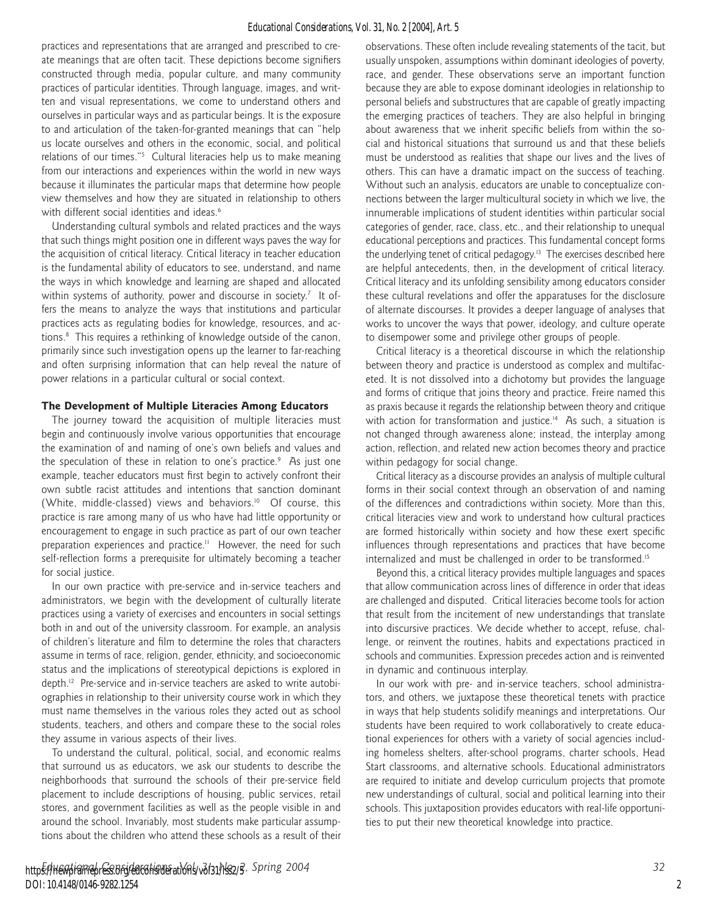practices and representations that are arranged and prescribed to create meanings that are often tacit. These depictions become signifiers constructed through media, popular culture, and many community practices of particular identities. Through language, images, and written and visual representations, we come to understand others and ourselves in particular ways and as particular beings. It is the exposure to and articulation of the taken-for-granted meanings that can "help us locate ourselves and others in the economic, social, and political relations of our times."<sup>5</sup> Cultural literacies help us to make meaning from our interactions and experiences within the world in new ways because it illuminates the particular maps that determine how people view themselves and how they are situated in relationship to others with different social identities and ideas.<sup>6</sup>

Understanding cultural symbols and related practices and the ways that such things might position one in different ways paves the way for the acquisition of critical literacy. Critical literacy in teacher education is the fundamental ability of educators to see, understand, and name the ways in which knowledge and learning are shaped and allocated within systems of authority, power and discourse in society.<sup>7</sup> It offers the means to analyze the ways that institutions and particular practices acts as regulating bodies for knowledge, resources, and actions.8 This requires a rethinking of knowledge outside of the canon, primarily since such investigation opens up the learner to far-reaching and often surprising information that can help reveal the nature of power relations in a particular cultural or social context.

#### **The Development of Multiple Literacies Among Educators**

The journey toward the acquisition of multiple literacies must begin and continuously involve various opportunities that encourage the examination of and naming of one's own beliefs and values and the speculation of these in relation to one's practice.<sup>9</sup> As just one example, teacher educators must first begin to actively confront their own subtle racist attitudes and intentions that sanction dominant (White, middle-classed) views and behaviors.<sup>10</sup> Of course, this practice is rare among many of us who have had little opportunity or encouragement to engage in such practice as part of our own teacher preparation experiences and practice.<sup>11</sup> However, the need for such self-reflection forms a prerequisite for ultimately becoming a teacher for social justice.

In our own practice with pre-service and in-service teachers and administrators, we begin with the development of culturally literate practices using a variety of exercises and encounters in social settings both in and out of the university classroom. For example, an analysis of children's literature and film to determine the roles that characters assume in terms of race, religion, gender, ethnicity, and socioeconomic status and the implications of stereotypical depictions is explored in depth.12 Pre-service and in-service teachers are asked to write autobiographies in relationship to their university course work in which they must name themselves in the various roles they acted out as school students, teachers, and others and compare these to the social roles they assume in various aspects of their lives.

To understand the cultural, political, social, and economic realms that surround us as educators, we ask our students to describe the neighborhoods that surround the schools of their pre-service field placement to include descriptions of housing, public services, retail stores, and government facilities as well as the people visible in and around the school. Invariably, most students make particular assumptions about the children who attend these schools as a result of their observations. These often include revealing statements of the tacit, but usually unspoken, assumptions within dominant ideologies of poverty, race, and gender. These observations serve an important function because they are able to expose dominant ideologies in relationship to personal beliefs and substructures that are capable of greatly impacting the emerging practices of teachers. They are also helpful in bringing about awareness that we inherit specific beliefs from within the social and historical situations that surround us and that these beliefs must be understood as realities that shape our lives and the lives of others. This can have a dramatic impact on the success of teaching. Without such an analysis, educators are unable to conceptualize connections between the larger multicultural society in which we live, the innumerable implications of student identities within particular social categories of gender, race, class, etc., and their relationship to unequal educational perceptions and practices. This fundamental concept forms the underlying tenet of critical pedagogy.<sup>13</sup> The exercises described here are helpful antecedents, then, in the development of critical literacy. Critical literacy and its unfolding sensibility among educators consider these cultural revelations and offer the apparatuses for the disclosure of alternate discourses. It provides a deeper language of analyses that works to uncover the ways that power, ideology, and culture operate to disempower some and privilege other groups of people.

Critical literacy is a theoretical discourse in which the relationship between theory and practice is understood as complex and multifaceted. It is not dissolved into a dichotomy but provides the language and forms of critique that joins theory and practice. Freire named this as praxis because it regards the relationship between theory and critique with action for transformation and justice.<sup>14</sup> As such, a situation is not changed through awareness alone; instead, the interplay among action, reflection, and related new action becomes theory and practice within pedagogy for social change.

Critical literacy as a discourse provides an analysis of multiple cultural forms in their social context through an observation of and naming of the differences and contradictions within society. More than this, critical literacies view and work to understand how cultural practices are formed historically within society and how these exert specific influences through representations and practices that have become internalized and must be challenged in order to be transformed.15

Beyond this, a critical literacy provides multiple languages and spaces that allow communication across lines of difference in order that ideas are challenged and disputed. Critical literacies become tools for action that result from the incitement of new understandings that translate into discursive practices. We decide whether to accept, refuse, challenge, or reinvent the routines, habits and expectations practiced in schools and communities. Expression precedes action and is reinvented in dynamic and continuous interplay.

In our work with pre- and in-service teachers, school administrators, and others, we juxtapose these theoretical tenets with practice in ways that help students solidify meanings and interpretations. Our students have been required to work collaboratively to create educational experiences for others with a variety of social agencies including homeless shelters, after-school programs, charter schools, Head Start classrooms, and alternative schools. Educational administrators are required to initiate and develop curriculum projects that promote new understandings of cultural, social and political learning into their schools. This juxtaposition provides educators with real-life opportunities to put their new theoretical knowledge into practice.

2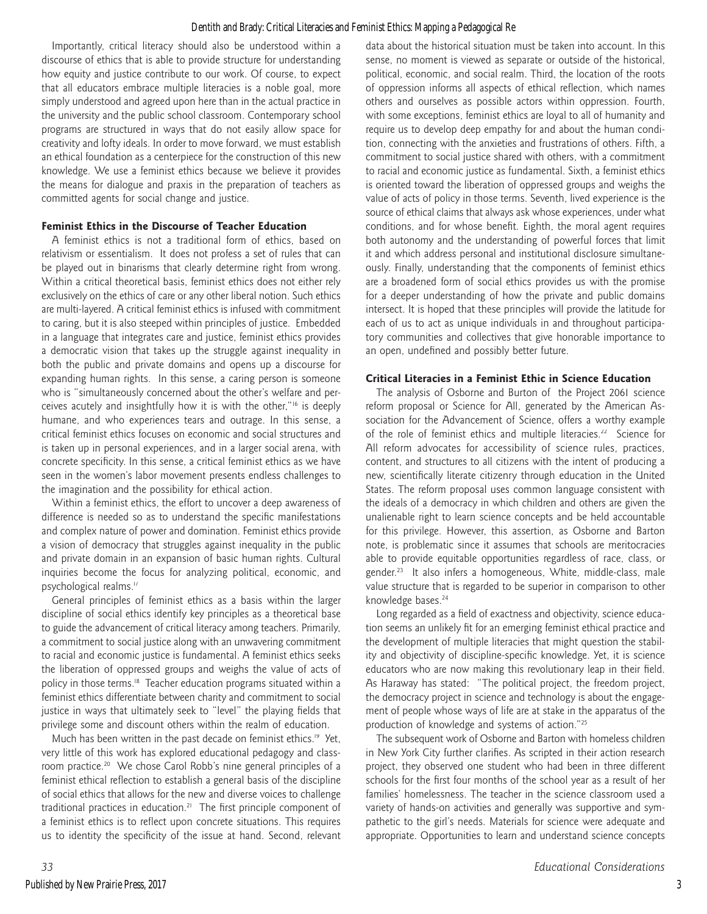#### Dentith and Brady: Critical Literacies and Feminist Ethics: Mapping a Pedagogical Re

Importantly, critical literacy should also be understood within a discourse of ethics that is able to provide structure for understanding how equity and justice contribute to our work. Of course, to expect that all educators embrace multiple literacies is a noble goal, more simply understood and agreed upon here than in the actual practice in the university and the public school classroom. Contemporary school programs are structured in ways that do not easily allow space for creativity and lofty ideals. In order to move forward, we must establish an ethical foundation as a centerpiece for the construction of this new knowledge. We use a feminist ethics because we believe it provides the means for dialogue and praxis in the preparation of teachers as committed agents for social change and justice.

#### **Feminist Ethics in the Discourse of Teacher Education**

A feminist ethics is not a traditional form of ethics, based on relativism or essentialism. It does not profess a set of rules that can be played out in binarisms that clearly determine right from wrong. Within a critical theoretical basis, feminist ethics does not either rely exclusively on the ethics of care or any other liberal notion. Such ethics are multi-layered. A critical feminist ethics is infused with commitment to caring, but it is also steeped within principles of justice. Embedded in a language that integrates care and justice, feminist ethics provides a democratic vision that takes up the struggle against inequality in both the public and private domains and opens up a discourse for expanding human rights. In this sense, a caring person is someone who is "simultaneously concerned about the other's welfare and perceives acutely and insightfully how it is with the other,"16 is deeply humane, and who experiences tears and outrage. In this sense, a critical feminist ethics focuses on economic and social structures and is taken up in personal experiences, and in a larger social arena, with concrete specificity. In this sense, a critical feminist ethics as we have seen in the women's labor movement presents endless challenges to the imagination and the possibility for ethical action.

Within a feminist ethics, the effort to uncover a deep awareness of difference is needed so as to understand the specific manifestations and complex nature of power and domination. Feminist ethics provide a vision of democracy that struggles against inequality in the public and private domain in an expansion of basic human rights. Cultural inquiries become the focus for analyzing political, economic, and psychological realms.<sup>17</sup>

General principles of feminist ethics as a basis within the larger discipline of social ethics identify key principles as a theoretical base to guide the advancement of critical literacy among teachers. Primarily, a commitment to social justice along with an unwavering commitment to racial and economic justice is fundamental. A feminist ethics seeks the liberation of oppressed groups and weighs the value of acts of policy in those terms.<sup>18</sup> Teacher education programs situated within a feminist ethics differentiate between charity and commitment to social justice in ways that ultimately seek to "level" the playing fields that privilege some and discount others within the realm of education.

Much has been written in the past decade on feminist ethics.<sup>19</sup> Yet, very little of this work has explored educational pedagogy and classroom practice.<sup>20</sup> We chose Carol Robb's nine general principles of a feminist ethical reflection to establish a general basis of the discipline of social ethics that allows for the new and diverse voices to challenge traditional practices in education.<sup>21</sup> The first principle component of a feminist ethics is to reflect upon concrete situations. This requires us to identity the specificity of the issue at hand. Second, relevant data about the historical situation must be taken into account. In this sense, no moment is viewed as separate or outside of the historical, political, economic, and social realm. Third, the location of the roots of oppression informs all aspects of ethical reflection, which names others and ourselves as possible actors within oppression. Fourth, with some exceptions, feminist ethics are loyal to all of humanity and require us to develop deep empathy for and about the human condition, connecting with the anxieties and frustrations of others. Fifth, a commitment to social justice shared with others, with a commitment to racial and economic justice as fundamental. Sixth, a feminist ethics is oriented toward the liberation of oppressed groups and weighs the value of acts of policy in those terms. Seventh, lived experience is the source of ethical claims that always ask whose experiences, under what conditions, and for whose benefit. Eighth, the moral agent requires both autonomy and the understanding of powerful forces that limit it and which address personal and institutional disclosure simultaneously. Finally, understanding that the components of feminist ethics are a broadened form of social ethics provides us with the promise for a deeper understanding of how the private and public domains intersect. It is hoped that these principles will provide the latitude for each of us to act as unique individuals in and throughout participatory communities and collectives that give honorable importance to an open, undefined and possibly better future.

#### **Critical Literacies in a Feminist Ethic in Science Education**

The analysis of Osborne and Burton of the Project 2061 science reform proposal or Science for All, generated by the American Association for the Advancement of Science, offers a worthy example of the role of feminist ethics and multiple literacies.<sup>22</sup> Science for All reform advocates for accessibility of science rules, practices, content, and structures to all citizens with the intent of producing a new, scientifically literate citizenry through education in the United States. The reform proposal uses common language consistent with the ideals of a democracy in which children and others are given the unalienable right to learn science concepts and be held accountable for this privilege. However, this assertion, as Osborne and Barton note, is problematic since it assumes that schools are meritocracies able to provide equitable opportunities regardless of race, class, or gender.23 It also infers a homogeneous, White, middle-class, male value structure that is regarded to be superior in comparison to other knowledge bases.<sup>24</sup>

Long regarded as a field of exactness and objectivity, science education seems an unlikely fit for an emerging feminist ethical practice and the development of multiple literacies that might question the stability and objectivity of discipline-specific knowledge. Yet, it is science educators who are now making this revolutionary leap in their field. As Haraway has stated: "The political project, the freedom project, the democracy project in science and technology is about the engagement of people whose ways of life are at stake in the apparatus of the production of knowledge and systems of action."25

The subsequent work of Osborne and Barton with homeless children in New York City further clarifies. As scripted in their action research project, they observed one student who had been in three different schools for the first four months of the school year as a result of her families' homelessness. The teacher in the science classroom used a variety of hands-on activities and generally was supportive and sympathetic to the girl's needs. Materials for science were adequate and appropriate. Opportunities to learn and understand science concepts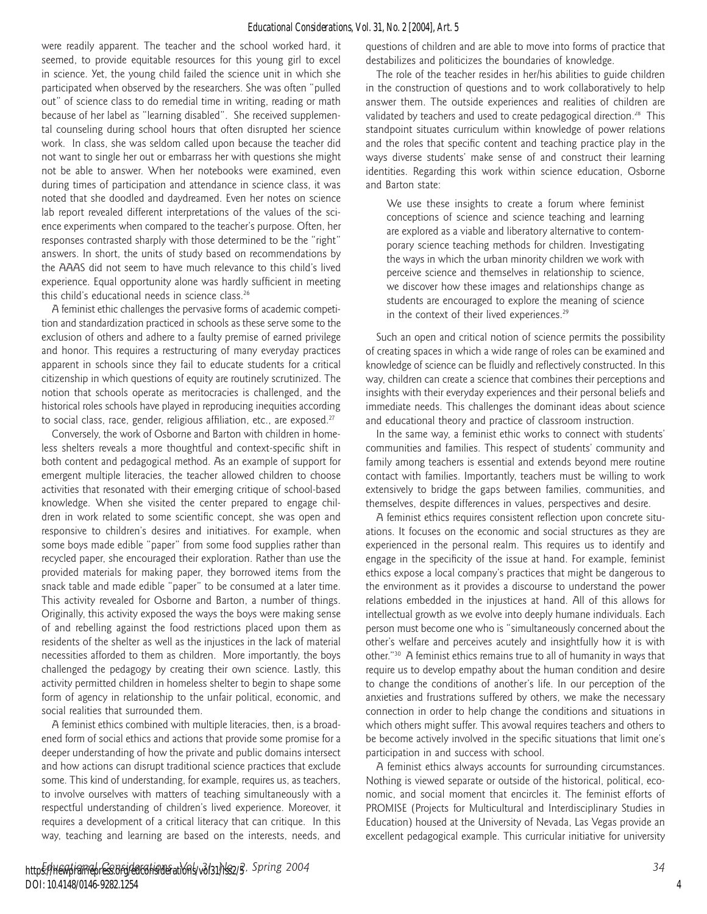#### *Educational Considerations, Vol. 31, No. 2 [2004], Art. 5*

were readily apparent. The teacher and the school worked hard, it seemed, to provide equitable resources for this young girl to excel in science. Yet, the young child failed the science unit in which she participated when observed by the researchers. She was often "pulled out" of science class to do remedial time in writing, reading or math because of her label as "learning disabled". She received supplemental counseling during school hours that often disrupted her science work. In class, she was seldom called upon because the teacher did not want to single her out or embarrass her with questions she might not be able to answer. When her notebooks were examined, even during times of participation and attendance in science class, it was noted that she doodled and daydreamed. Even her notes on science lab report revealed different interpretations of the values of the science experiments when compared to the teacher's purpose. Often, her responses contrasted sharply with those determined to be the "right" answers. In short, the units of study based on recommendations by the AAAS did not seem to have much relevance to this child's lived experience. Equal opportunity alone was hardly sufficient in meeting this child's educational needs in science class.26

A feminist ethic challenges the pervasive forms of academic competition and standardization practiced in schools as these serve some to the exclusion of others and adhere to a faulty premise of earned privilege and honor. This requires a restructuring of many everyday practices apparent in schools since they fail to educate students for a critical citizenship in which questions of equity are routinely scrutinized. The notion that schools operate as meritocracies is challenged, and the historical roles schools have played in reproducing inequities according to social class, race, gender, religious affiliation, etc., are exposed.<sup>27</sup>

Conversely, the work of Osborne and Barton with children in homeless shelters reveals a more thoughtful and context-specific shift in both content and pedagogical method. As an example of support for emergent multiple literacies, the teacher allowed children to choose activities that resonated with their emerging critique of school-based knowledge. When she visited the center prepared to engage children in work related to some scientific concept, she was open and responsive to children's desires and initiatives. For example, when some boys made edible "paper" from some food supplies rather than recycled paper, she encouraged their exploration. Rather than use the provided materials for making paper, they borrowed items from the snack table and made edible "paper" to be consumed at a later time. This activity revealed for Osborne and Barton, a number of things. Originally, this activity exposed the ways the boys were making sense of and rebelling against the food restrictions placed upon them as residents of the shelter as well as the injustices in the lack of material necessities afforded to them as children. More importantly, the boys challenged the pedagogy by creating their own science. Lastly, this activity permitted children in homeless shelter to begin to shape some form of agency in relationship to the unfair political, economic, and social realities that surrounded them.

A feminist ethics combined with multiple literacies, then, is a broadened form of social ethics and actions that provide some promise for a deeper understanding of how the private and public domains intersect and how actions can disrupt traditional science practices that exclude some. This kind of understanding, for example, requires us, as teachers, to involve ourselves with matters of teaching simultaneously with a respectful understanding of children's lived experience. Moreover, it requires a development of a critical literacy that can critique. In this way, teaching and learning are based on the interests, needs, and

http<del>s://newpiramepress.org/edconsider</del>ations/vol31/iss2/3, Spring 2004 **34** *34* **34** DOI: 10.4148/0146-9282.1254

questions of children and are able to move into forms of practice that destabilizes and politicizes the boundaries of knowledge.

The role of the teacher resides in her/his abilities to guide children in the construction of questions and to work collaboratively to help answer them. The outside experiences and realities of children are validated by teachers and used to create pedagogical direction.<sup>28</sup> This standpoint situates curriculum within knowledge of power relations and the roles that specific content and teaching practice play in the ways diverse students' make sense of and construct their learning identities. Regarding this work within science education, Osborne and Barton state:

We use these insights to create a forum where feminist conceptions of science and science teaching and learning are explored as a viable and liberatory alternative to contemporary science teaching methods for children. Investigating the ways in which the urban minority children we work with perceive science and themselves in relationship to science, we discover how these images and relationships change as students are encouraged to explore the meaning of science in the context of their lived experiences.<sup>29</sup>

Such an open and critical notion of science permits the possibility of creating spaces in which a wide range of roles can be examined and knowledge of science can be fluidly and reflectively constructed. In this way, children can create a science that combines their perceptions and insights with their everyday experiences and their personal beliefs and immediate needs. This challenges the dominant ideas about science and educational theory and practice of classroom instruction.

In the same way, a feminist ethic works to connect with students' communities and families. This respect of students' community and family among teachers is essential and extends beyond mere routine contact with families. Importantly, teachers must be willing to work extensively to bridge the gaps between families, communities, and themselves, despite differences in values, perspectives and desire.

A feminist ethics requires consistent reflection upon concrete situations. It focuses on the economic and social structures as they are experienced in the personal realm. This requires us to identify and engage in the specificity of the issue at hand. For example, feminist ethics expose a local company's practices that might be dangerous to the environment as it provides a discourse to understand the power relations embedded in the injustices at hand. All of this allows for intellectual growth as we evolve into deeply humane individuals. Each person must become one who is "simultaneously concerned about the other's welfare and perceives acutely and insightfully how it is with other."30 A feminist ethics remains true to all of humanity in ways that require us to develop empathy about the human condition and desire to change the conditions of another's life. In our perception of the anxieties and frustrations suffered by others, we make the necessary connection in order to help change the conditions and situations in which others might suffer. This avowal requires teachers and others to be become actively involved in the specific situations that limit one's participation in and success with school.

A feminist ethics always accounts for surrounding circumstances. Nothing is viewed separate or outside of the historical, political, economic, and social moment that encircles it. The feminist efforts of PROMISE (Projects for Multicultural and Interdisciplinary Studies in Education) housed at the University of Nevada, Las Vegas provide an excellent pedagogical example. This curricular initiative for university

4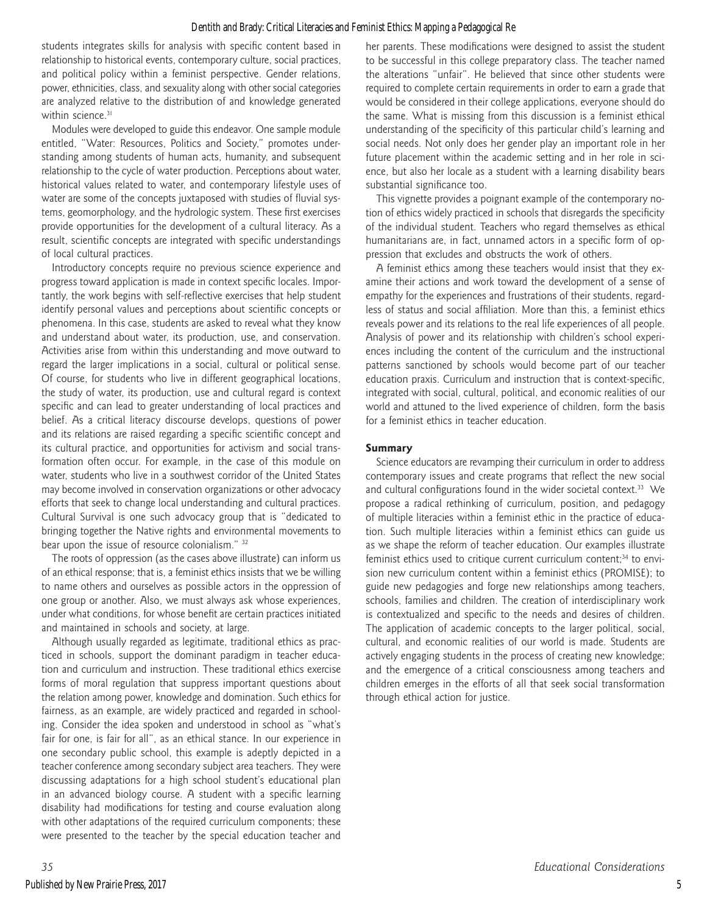#### Dentith and Brady: Critical Literacies and Feminist Ethics: Mapping a Pedagogical Re

students integrates skills for analysis with specific content based in relationship to historical events, contemporary culture, social practices, and political policy within a feminist perspective. Gender relations, power, ethnicities, class, and sexuality along with other social categories are analyzed relative to the distribution of and knowledge generated within science.<sup>31</sup>

Modules were developed to guide this endeavor. One sample module entitled, "Water: Resources, Politics and Society," promotes understanding among students of human acts, humanity, and subsequent relationship to the cycle of water production. Perceptions about water, historical values related to water, and contemporary lifestyle uses of water are some of the concepts juxtaposed with studies of fluvial systems, geomorphology, and the hydrologic system. These first exercises provide opportunities for the development of a cultural literacy. As a result, scientific concepts are integrated with specific understandings of local cultural practices.

Introductory concepts require no previous science experience and progress toward application is made in context specific locales. Importantly, the work begins with self-reflective exercises that help student identify personal values and perceptions about scientific concepts or phenomena. In this case, students are asked to reveal what they know and understand about water, its production, use, and conservation. Activities arise from within this understanding and move outward to regard the larger implications in a social, cultural or political sense. Of course, for students who live in different geographical locations, the study of water, its production, use and cultural regard is context specific and can lead to greater understanding of local practices and belief. As a critical literacy discourse develops, questions of power and its relations are raised regarding a specific scientific concept and its cultural practice, and opportunities for activism and social transformation often occur. For example, in the case of this module on water, students who live in a southwest corridor of the United States may become involved in conservation organizations or other advocacy efforts that seek to change local understanding and cultural practices. Cultural Survival is one such advocacy group that is "dedicated to bringing together the Native rights and environmental movements to bear upon the issue of resource colonialism." <sup>32</sup>

The roots of oppression (as the cases above illustrate) can inform us of an ethical response; that is, a feminist ethics insists that we be willing to name others and ourselves as possible actors in the oppression of one group or another. Also, we must always ask whose experiences, under what conditions, for whose benefit are certain practices initiated and maintained in schools and society, at large.

Although usually regarded as legitimate, traditional ethics as practiced in schools, support the dominant paradigm in teacher education and curriculum and instruction. These traditional ethics exercise forms of moral regulation that suppress important questions about the relation among power, knowledge and domination. Such ethics for fairness, as an example, are widely practiced and regarded in schooling. Consider the idea spoken and understood in school as "what's fair for one, is fair for all", as an ethical stance. In our experience in one secondary public school, this example is adeptly depicted in a teacher conference among secondary subject area teachers. They were discussing adaptations for a high school student's educational plan in an advanced biology course. A student with a specific learning disability had modifications for testing and course evaluation along with other adaptations of the required curriculum components; these were presented to the teacher by the special education teacher and her parents. These modifications were designed to assist the student to be successful in this college preparatory class. The teacher named the alterations "unfair". He believed that since other students were required to complete certain requirements in order to earn a grade that would be considered in their college applications, everyone should do the same. What is missing from this discussion is a feminist ethical understanding of the specificity of this particular child's learning and social needs. Not only does her gender play an important role in her future placement within the academic setting and in her role in science, but also her locale as a student with a learning disability bears substantial significance too.

This vignette provides a poignant example of the contemporary notion of ethics widely practiced in schools that disregards the specificity of the individual student. Teachers who regard themselves as ethical humanitarians are, in fact, unnamed actors in a specific form of oppression that excludes and obstructs the work of others.

A feminist ethics among these teachers would insist that they examine their actions and work toward the development of a sense of empathy for the experiences and frustrations of their students, regardless of status and social affiliation. More than this, a feminist ethics reveals power and its relations to the real life experiences of all people. Analysis of power and its relationship with children's school experiences including the content of the curriculum and the instructional patterns sanctioned by schools would become part of our teacher education praxis. Curriculum and instruction that is context-specific, integrated with social, cultural, political, and economic realities of our world and attuned to the lived experience of children, form the basis for a feminist ethics in teacher education.

#### **Summary**

Science educators are revamping their curriculum in order to address contemporary issues and create programs that reflect the new social and cultural configurations found in the wider societal context.<sup>33</sup> We propose a radical rethinking of curriculum, position, and pedagogy of multiple literacies within a feminist ethic in the practice of education. Such multiple literacies within a feminist ethics can guide us as we shape the reform of teacher education. Our examples illustrate feminist ethics used to critique current curriculum content;<sup>34</sup> to envision new curriculum content within a feminist ethics (PROMISE); to guide new pedagogies and forge new relationships among teachers, schools, families and children. The creation of interdisciplinary work is contextualized and specific to the needs and desires of children. The application of academic concepts to the larger political, social, cultural, and economic realities of our world is made. Students are actively engaging students in the process of creating new knowledge; and the emergence of a critical consciousness among teachers and children emerges in the efforts of all that seek social transformation through ethical action for justice.